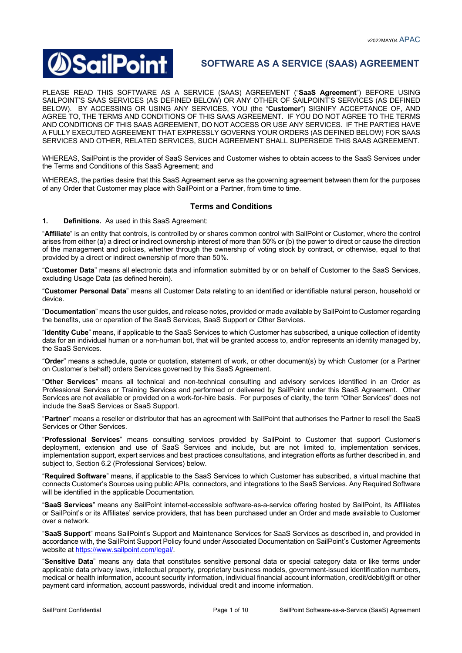# **DSailPoint**

# **SOFTWARE AS A SERVICE (SAAS) AGREEMENT**

PLEASE READ THIS SOFTWARE AS A SERVICE (SAAS) AGREEMENT ("**SaaS Agreement**") BEFORE USING SAILPOINT'S SAAS SERVICES (AS DEFINED BELOW) OR ANY OTHER OF SAILPOINT'S SERVICES (AS DEFINED BELOW). BY ACCESSING OR USING ANY SERVICES, YOU (the "**Customer**") SIGNIFY ACCEPTANCE OF, AND AGREE TO, THE TERMS AND CONDITIONS OF THIS SAAS AGREEMENT. IF YOU DO NOT AGREE TO THE TERMS AND CONDITIONS OF THIS SAAS AGREEMENT, DO NOT ACCESS OR USE ANY SERVICES. IF THE PARTIES HAVE A FULLY EXECUTED AGREEMENT THAT EXPRESSLY GOVERNS YOUR ORDERS (AS DEFINED BELOW) FOR SAAS SERVICES AND OTHER, RELATED SERVICES, SUCH AGREEMENT SHALL SUPERSEDE THIS SAAS AGREEMENT.

WHEREAS, SailPoint is the provider of SaaS Services and Customer wishes to obtain access to the SaaS Services under the Terms and Conditions of this SaaS Agreement; and

WHEREAS, the parties desire that this SaaS Agreement serve as the governing agreement between them for the purposes of any Order that Customer may place with SailPoint or a Partner, from time to time.

# **Terms and Conditions**

**1. Definitions.** As used in this SaaS Agreement:

"**Affiliate**" is an entity that controls, is controlled by or shares common control with SailPoint or Customer, where the control arises from either (a) a direct or indirect ownership interest of more than 50% or (b) the power to direct or cause the direction of the management and policies, whether through the ownership of voting stock by contract, or otherwise, equal to that provided by a direct or indirect ownership of more than 50%.

"**Customer Data**" means all electronic data and information submitted by or on behalf of Customer to the SaaS Services, excluding Usage Data (as defined herein).

"**Customer Personal Data**" means all Customer Data relating to an identified or identifiable natural person, household or device.

"**Documentation**" means the user guides, and release notes, provided or made available by SailPoint to Customer regarding the benefits, use or operation of the SaaS Services, SaaS Support or Other Services.

"**Identity Cube**" means, if applicable to the SaaS Services to which Customer has subscribed, a unique collection of identity data for an individual human or a non-human bot, that will be granted access to, and/or represents an identity managed by, the SaaS Services.

"**Order**" means a schedule, quote or quotation, statement of work, or other document(s) by which Customer (or a Partner on Customer's behalf) orders Services governed by this SaaS Agreement.

"**Other Services**" means all technical and non-technical consulting and advisory services identified in an Order as Professional Services or Training Services and performed or delivered by SailPoint under this SaaS Agreement. Other Services are not available or provided on a work-for-hire basis. For purposes of clarity, the term "Other Services" does not include the SaaS Services or SaaS Support.

"**Partner**" means a reseller or distributor that has an agreement with SailPoint that authorises the Partner to resell the SaaS Services or Other Services.

"**Professional Services**" means consulting services provided by SailPoint to Customer that support Customer's deployment, extension and use of SaaS Services and include, but are not limited to, implementation services, implementation support, expert services and best practices consultations, and integration efforts as further described in, and subject to, Section 6.2 (Professional Services) below.

"**Required Software**" means, if applicable to the SaaS Services to which Customer has subscribed, a virtual machine that connects Customer's Sources using public APIs, connectors, and integrations to the SaaS Services. Any Required Software will be identified in the applicable Documentation.

"**SaaS Services**" means any SailPoint internet-accessible software-as-a-service offering hosted by SailPoint, its Affiliates or SailPoint's or its Affiliates' service providers, that has been purchased under an Order and made available to Customer over a network.

"**SaaS Support**" means SailPoint's Support and Maintenance Services for SaaS Services as described in, and provided in accordance with, the SailPoint Support Policy found under Associated Documentation on SailPoint's Customer Agreements website at https://www.sailpoint.com/legal/.

"**Sensitive Data**" means any data that constitutes sensitive personal data or special category data or like terms under applicable data privacy laws, intellectual property, proprietary business models, government-issued identification numbers, medical or health information, account security information, individual financial account information, credit/debit/gift or other payment card information, account passwords, individual credit and income information.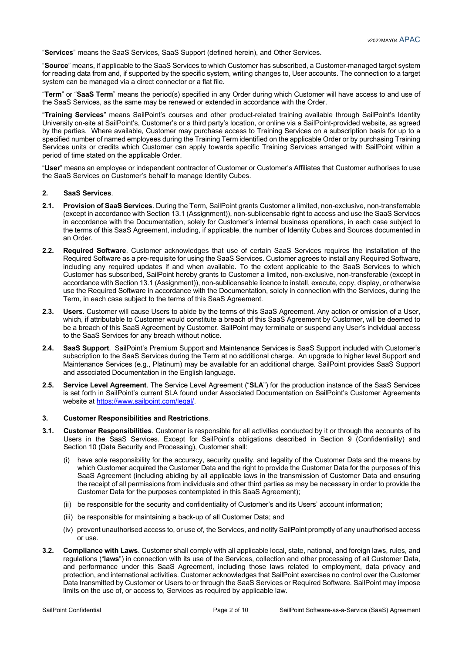"**Services**" means the SaaS Services, SaaS Support (defined herein), and Other Services.

"**Source**" means, if applicable to the SaaS Services to which Customer has subscribed, a Customer-managed target system for reading data from and, if supported by the specific system, writing changes to, User accounts. The connection to a target system can be managed via a direct connector or a flat file.

"**Term**" or "**SaaS Term**" means the period(s) specified in any Order during which Customer will have access to and use of the SaaS Services, as the same may be renewed or extended in accordance with the Order.

"**Training Services**" means SailPoint's courses and other product-related training available through SailPoint's Identity University on-site at SailPoint's, Customer's or a third party's location, or online via a SailPoint-provided website, as agreed by the parties. Where available, Customer may purchase access to Training Services on a subscription basis for up to a specified number of named employees during the Training Term identified on the applicable Order or by purchasing Training Services units or credits which Customer can apply towards specific Training Services arranged with SailPoint within a period of time stated on the applicable Order.

"**User**" means an employee or independent contractor of Customer or Customer's Affiliates that Customer authorises to use the SaaS Services on Customer's behalf to manage Identity Cubes.

# **2. SaaS Services**.

- **2.1. Provision of SaaS Services**. During the Term, SailPoint grants Customer a limited, non-exclusive, non-transferrable (except in accordance with Section 13.1 (Assignment)), non-sublicensable right to access and use the SaaS Services in accordance with the Documentation, solely for Customer's internal business operations, in each case subject to the terms of this SaaS Agreement, including, if applicable, the number of Identity Cubes and Sources documented in an Order.
- **2.2. Required Software**. Customer acknowledges that use of certain SaaS Services requires the installation of the Required Software as a pre-requisite for using the SaaS Services. Customer agrees to install any Required Software, including any required updates if and when available. To the extent applicable to the SaaS Services to which Customer has subscribed, SailPoint hereby grants to Customer a limited, non-exclusive, non-transferable (except in accordance with Section 13.1 (Assignment)), non-sublicensable licence to install, execute, copy, display, or otherwise use the Required Software in accordance with the Documentation, solely in connection with the Services, during the Term, in each case subject to the terms of this SaaS Agreement.
- **2.3. Users**. Customer will cause Users to abide by the terms of this SaaS Agreement. Any action or omission of a User, which, if attributable to Customer would constitute a breach of this SaaS Agreement by Customer, will be deemed to be a breach of this SaaS Agreement by Customer. SailPoint may terminate or suspend any User's individual access to the SaaS Services for any breach without notice.
- **2.4. SaaS Support**. SailPoint's Premium Support and Maintenance Services is SaaS Support included with Customer's subscription to the SaaS Services during the Term at no additional charge. An upgrade to higher level Support and Maintenance Services (e.g., Platinum) may be available for an additional charge. SailPoint provides SaaS Support and associated Documentation in the English language.
- **2.5. Service Level Agreement**. The Service Level Agreement ("**SLA**") for the production instance of the SaaS Services is set forth in SailPoint's current SLA found under Associated Documentation on SailPoint's Customer Agreements website at https://www.sailpoint.com/legal/.

#### **3. Customer Responsibilities and Restrictions**.

- **3.1. Customer Responsibilities**. Customer is responsible for all activities conducted by it or through the accounts of its Users in the SaaS Services. Except for SailPoint's obligations described in Section 9 (Confidentiality) and Section 10 (Data Security and Processing), Customer shall:
	- (i) have sole responsibility for the accuracy, security quality, and legality of the Customer Data and the means by which Customer acquired the Customer Data and the right to provide the Customer Data for the purposes of this SaaS Agreement (including abiding by all applicable laws in the transmission of Customer Data and ensuring the receipt of all permissions from individuals and other third parties as may be necessary in order to provide the Customer Data for the purposes contemplated in this SaaS Agreement);
	- (ii) be responsible for the security and confidentiality of Customer's and its Users' account information;
	- (iii) be responsible for maintaining a back-up of all Customer Data; and
	- (iv) prevent unauthorised access to, or use of, the Services, and notify SailPoint promptly of any unauthorised access  $\overline{a}$
- **3.2. Compliance with Laws**. Customer shall comply with all applicable local, state, national, and foreign laws, rules, and regulations ("**laws**") in connection with its use of the Services, collection and other processing of all Customer Data, and performance under this SaaS Agreement, including those laws related to employment, data privacy and protection, and international activities. Customer acknowledges that SailPoint exercises no control over the Customer Data transmitted by Customer or Users to or through the SaaS Services or Required Software. SailPoint may impose limits on the use of, or access to, Services as required by applicable law.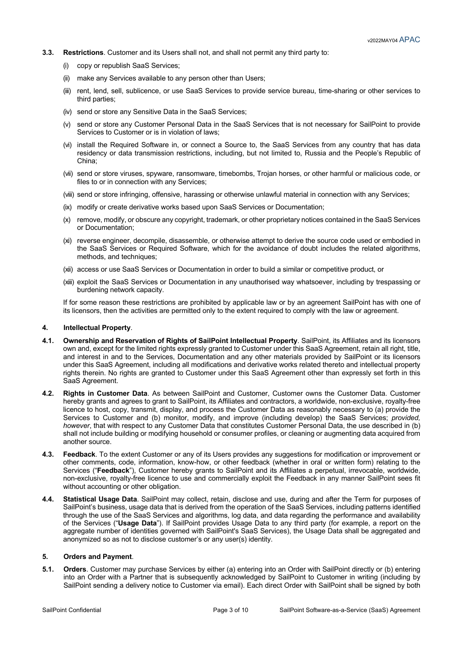- **3.3. Restrictions**. Customer and its Users shall not, and shall not permit any third party to:
	- (i) copy or republish SaaS Services;
	- (ii) make any Services available to any person other than Users;
	- (iii) rent, lend, sell, sublicence, or use SaaS Services to provide service bureau, time-sharing or other services to third parties;
	- (iv) send or store any Sensitive Data in the SaaS Services;
	- (v) send or store any Customer Personal Data in the SaaS Services that is not necessary for SailPoint to provide Services to Customer or is in violation of laws;
	- (vi) install the Required Software in, or connect a Source to, the SaaS Services from any country that has data residency or data transmission restrictions, including, but not limited to, Russia and the People's Republic of China;
	- (vii) send or store viruses, spyware, ransomware, timebombs, Trojan horses, or other harmful or malicious code, or files to or in connection with any Services;
	- (viii) send or store infringing, offensive, harassing or otherwise unlawful material in connection with any Services;
	- (ix) modify or create derivative works based upon SaaS Services or Documentation;
	- (x) remove, modify, or obscure any copyright, trademark, or other proprietary notices contained in the SaaS Services or Documentation;
	- (xi) reverse engineer, decompile, disassemble, or otherwise attempt to derive the source code used or embodied in the SaaS Services or Required Software, which for the avoidance of doubt includes the related algorithms, methods, and techniques;
	- (xii) access or use SaaS Services or Documentation in order to build a similar or competitive product, or
	- (xiii) exploit the SaaS Services or Documentation in any unauthorised way whatsoever, including by trespassing or burdening network capacity.

If for some reason these restrictions are prohibited by applicable law or by an agreement SailPoint has with one of its licensors, then the activities are permitted only to the extent required to comply with the law or agreement.

#### **4. Intellectual Property**.

- **4.1. Ownership and Reservation of Rights of SailPoint Intellectual Property**. SailPoint, its Affiliates and its licensors own and, except for the limited rights expressly granted to Customer under this SaaS Agreement, retain all right, title, and interest in and to the Services, Documentation and any other materials provided by SailPoint or its licensors under this SaaS Agreement, including all modifications and derivative works related thereto and intellectual property rights therein. No rights are granted to Customer under this SaaS Agreement other than expressly set forth in this SaaS Agreement.
- **4.2. Rights in Customer Data**. As between SailPoint and Customer, Customer owns the Customer Data. Customer hereby grants and agrees to grant to SailPoint, its Affiliates and contractors, a worldwide, non-exclusive, royalty-free licence to host, copy, transmit, display, and process the Customer Data as reasonably necessary to (a) provide the Services to Customer and (b) monitor, modify, and improve (including develop) the SaaS Services; *provided, however*, that with respect to any Customer Data that constitutes Customer Personal Data, the use described in (b) shall not include building or modifying household or consumer profiles, or cleaning or augmenting data acquired from another source.
- **4.3. Feedback**. To the extent Customer or any of its Users provides any suggestions for modification or improvement or other comments, code, information, know-how, or other feedback (whether in oral or written form) relating to the Services ("**Feedback**"), Customer hereby grants to SailPoint and its Affiliates a perpetual, irrevocable, worldwide, non-exclusive, royalty-free licence to use and commercially exploit the Feedback in any manner SailPoint sees fit without accounting or other obligation.
- **4.4. Statistical Usage Data**. SailPoint may collect, retain, disclose and use, during and after the Term for purposes of SailPoint's business, usage data that is derived from the operation of the SaaS Services, including patterns identified through the use of the SaaS Services and algorithms, log data, and data regarding the performance and availability of the Services ("**Usage Data**"). If SailPoint provides Usage Data to any third party (for example, a report on the aggregate number of identities governed with SailPoint's SaaS Services), the Usage Data shall be aggregated and anonymized so as not to disclose customer's or any user(s) identity.

#### **5. Orders and Payment**.

**5.1. Orders**. Customer may purchase Services by either (a) entering into an Order with SailPoint directly or (b) entering into an Order with a Partner that is subsequently acknowledged by SailPoint to Customer in writing (including by SailPoint sending a delivery notice to Customer via email). Each direct Order with SailPoint shall be signed by both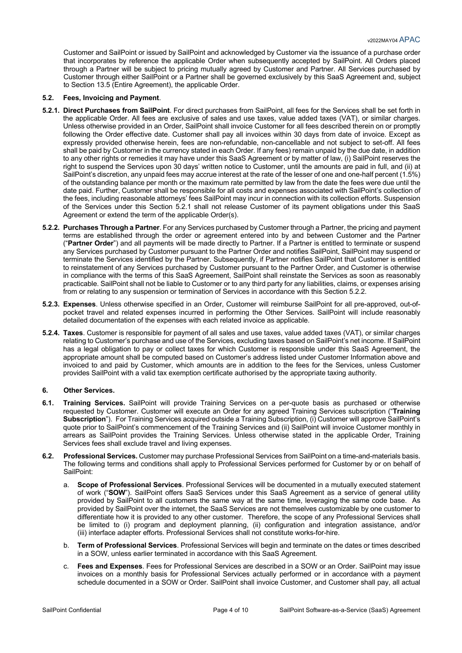Customer and SailPoint or issued by SailPoint and acknowledged by Customer via the issuance of a purchase order that incorporates by reference the applicable Order when subsequently accepted by SailPoint. All Orders placed through a Partner will be subject to pricing mutually agreed by Customer and Partner. All Services purchased by Customer through either SailPoint or a Partner shall be governed exclusively by this SaaS Agreement and, subject to Section 13.5 (Entire Agreement), the applicable Order.

# **5.2. Fees, Invoicing and Payment**.

- **5.2.1. Direct Purchases from SailPoint**. For direct purchases from SailPoint, all fees for the Services shall be set forth in the applicable Order. All fees are exclusive of sales and use taxes, value added taxes (VAT), or similar charges. Unless otherwise provided in an Order, SailPoint shall invoice Customer for all fees described therein on or promptly following the Order effective date. Customer shall pay all invoices within 30 days from date of invoice. Except as expressly provided otherwise herein, fees are non-refundable, non-cancellable and not subject to set-off. All fees shall be paid by Customer in the currency stated in each Order. If any fees) remain unpaid by the due date, in addition to any other rights or remedies it may have under this SaaS Agreement or by matter of law, (i) SailPoint reserves the right to suspend the Services upon 30 days' written notice to Customer, until the amounts are paid in full, and (ii) at SailPoint's discretion, any unpaid fees may accrue interest at the rate of the lesser of one and one-half percent (1.5%) of the outstanding balance per month or the maximum rate permitted by law from the date the fees were due until the date paid. Further, Customer shall be responsible for all costs and expenses associated with SailPoint's collection of the fees, including reasonable attorneys' fees SailPoint may incur in connection with its collection efforts. Suspension of the Services under this Section 5.2.1 shall not release Customer of its payment obligations under this SaaS Agreement or extend the term of the applicable Order(s).
- **5.2.2. Purchases Through a Partner**. For any Services purchased by Customer through a Partner, the pricing and payment terms are established through the order or agreement entered into by and between Customer and the Partner ("**Partner Order**") and all payments will be made directly to Partner. If a Partner is entitled to terminate or suspend any Services purchased by Customer pursuant to the Partner Order and notifies SailPoint, SailPoint may suspend or terminate the Services identified by the Partner. Subsequently, if Partner notifies SailPoint that Customer is entitled to reinstatement of any Services purchased by Customer pursuant to the Partner Order, and Customer is otherwise in compliance with the terms of this SaaS Agreement, SailPoint shall reinstate the Services as soon as reasonably practicable. SailPoint shall not be liable to Customer or to any third party for any liabilities, claims, or expenses arising from or relating to any suspension or termination of Services in accordance with this Section 5.2.2.
- **5.2.3. Expenses**. Unless otherwise specified in an Order, Customer will reimburse SailPoint for all pre-approved, out-ofpocket travel and related expenses incurred in performing the Other Services. SailPoint will include reasonably detailed documentation of the expenses with each related invoice as applicable.
- **5.2.4. Taxes**. Customer is responsible for payment of all sales and use taxes, value added taxes (VAT), or similar charges relating to Customer's purchase and use of the Services, excluding taxes based on SailPoint's net income. If SailPoint has a legal obligation to pay or collect taxes for which Customer is responsible under this SaaS Agreement, the appropriate amount shall be computed based on Customer's address listed under Customer Information above and invoiced to and paid by Customer, which amounts are in addition to the fees for the Services, unless Customer provides SailPoint with a valid tax exemption certificate authorised by the appropriate taxing authority.

# **6. Other Services.**

- **6.1. Training Services.** SailPoint will provide Training Services on a per-quote basis as purchased or otherwise requested by Customer. Customer will execute an Order for any agreed Training Services subscription ("**Training Subscription**"). For Training Services acquired outside a Training Subscription, (i) Customer will approve SailPoint's quote prior to SailPoint's commencement of the Training Services and (ii) SailPoint will invoice Customer monthly in arrears as SailPoint provides the Training Services. Unless otherwise stated in the applicable Order, Training Services fees shall exclude travel and living expenses.
- **6.2. Professional Services.** Customer may purchase Professional Services from SailPoint on a time-and-materials basis. The following terms and conditions shall apply to Professional Services performed for Customer by or on behalf of SailPoint:
	- a. **Scope of Professional Services**. Professional Services will be documented in a mutually executed statement of work ("**SOW**"). SailPoint offers SaaS Services under this SaaS Agreement as a service of general utility provided by SailPoint to all customers the same way at the same time, leveraging the same code base. As provided by SailPoint over the internet, the SaaS Services are not themselves customizable by one customer to differentiate how it is provided to any other customer. Therefore, the scope of any Professional Services shall be limited to (i) program and deployment planning, (ii) configuration and integration assistance, and/or (iii) interface adapter efforts. Professional Services shall not constitute works-for-hire.
	- b. **Term of Professional Services**. Professional Services will begin and terminate on the dates or times described in a SOW, unless earlier terminated in accordance with this SaaS Agreement.
	- c. **Fees and Expenses**. Fees for Professional Services are described in a SOW or an Order. SailPoint may issue invoices on a monthly basis for Professional Services actually performed or in accordance with a payment schedule documented in a SOW or Order. SailPoint shall invoice Customer, and Customer shall pay, all actual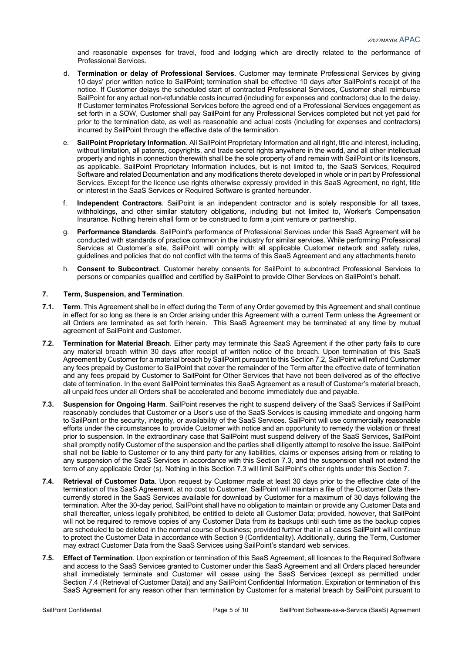and reasonable expenses for travel, food and lodging which are directly related to the performance of Professional Services.

- d. **Termination or delay of Professional Services**. Customer may terminate Professional Services by giving 10 days' prior written notice to SailPoint; termination shall be effective 10 days after SailPoint's receipt of the notice. If Customer delays the scheduled start of contracted Professional Services, Customer shall reimburse SailPoint for any actual non-refundable costs incurred (including for expenses and contractors) due to the delay. If Customer terminates Professional Services before the agreed end of a Professional Services engagement as set forth in a SOW, Customer shall pay SailPoint for any Professional Services completed but not yet paid for prior to the termination date, as well as reasonable and actual costs (including for expenses and contractors) incurred by SailPoint through the effective date of the termination.
- e. **SailPoint Proprietary Information**. All SailPoint Proprietary Information and all right, title and interest, including, without limitation, all patents, copyrights, and trade secret rights anywhere in the world, and all other intellectual property and rights in connection therewith shall be the sole property of and remain with SailPoint or its licensors, as applicable. SailPoint Proprietary Information includes, but is not limited to, the SaaS Services, Required Software and related Documentation and any modifications thereto developed in whole or in part by Professional Services. Except for the licence use rights otherwise expressly provided in this SaaS Agreement, no right, title or interest in the SaaS Services or Required Software is granted hereunder.
- f. **Independent Contractors**. SailPoint is an independent contractor and is solely responsible for all taxes, withholdings, and other similar statutory obligations, including but not limited to, Worker's Compensation Insurance. Nothing herein shall form or be construed to form a joint venture or partnership.
- g. **Performance Standards**. SailPoint's performance of Professional Services under this SaaS Agreement will be conducted with standards of practice common in the industry for similar services. While performing Professional Services at Customer's site, SailPoint will comply with all applicable Customer network and safety rules, guidelines and policies that do not conflict with the terms of this SaaS Agreement and any attachments hereto
- h. **Consent to Subcontract**. Customer hereby consents for SailPoint to subcontract Professional Services to persons or companies qualified and certified by SailPoint to provide Other Services on SailPoint's behalf.

# **7. Term, Suspension, and Termination**.

- **7.1. Term**. This Agreement shall be in effect during the Term of any Order governed by this Agreement and shall continue in effect for so long as there is an Order arising under this Agreement with a current Term unless the Agreement or all Orders are terminated as set forth herein. This SaaS Agreement may be terminated at any time by mutual agreement of SailPoint and Customer.
- **7.2. Termination for Material Breach**. Either party may terminate this SaaS Agreement if the other party fails to cure any material breach within 30 days after receipt of written notice of the breach. Upon termination of this SaaS Agreement by Customer for a material breach by SailPoint pursuant to this Section 7.2, SailPoint will refund Customer any fees prepaid by Customer to SailPoint that cover the remainder of the Term after the effective date of termination and any fees prepaid by Customer to SailPoint for Other Services that have not been delivered as of the effective date of termination. In the event SailPoint terminates this SaaS Agreement as a result of Customer's material breach, all unpaid fees under all Orders shall be accelerated and become immediately due and payable.
- **7.3. Suspension for Ongoing Harm**. SailPoint reserves the right to suspend delivery of the SaaS Services if SailPoint reasonably concludes that Customer or a User's use of the SaaS Services is causing immediate and ongoing harm to SailPoint or the security, integrity, or availability of the SaaS Services. SailPoint will use commercially reasonable efforts under the circumstances to provide Customer with notice and an opportunity to remedy the violation or threat prior to suspension. In the extraordinary case that SailPoint must suspend delivery of the SaaS Services, SailPoint shall promptly notify Customer of the suspension and the parties shall diligently attempt to resolve the issue. SailPoint shall not be liable to Customer or to any third party for any liabilities, claims or expenses arising from or relating to any suspension of the SaaS Services in accordance with this Section 7.3, and the suspension shall not extend the term of any applicable Order (s). Nothing in this Section 7.3 will limit SailPoint's other rights under this Section 7.
- **7.4. Retrieval of Customer Data**. Upon request by Customer made at least 30 days prior to the effective date of the termination of this SaaS Agreement, at no cost to Customer, SailPoint will maintain a file of the Customer Data thencurrently stored in the SaaS Services available for download by Customer for a maximum of 30 days following the termination. After the 30-day period, SailPoint shall have no obligation to maintain or provide any Customer Data and shall thereafter, unless legally prohibited, be entitled to delete all Customer Data; provided, however, that SailPoint will not be required to remove copies of any Customer Data from its backups until such time as the backup copies are scheduled to be deleted in the normal course of business; provided further that in all cases SailPoint will continue to protect the Customer Data in accordance with Section 9 (Confidentiality). Additionally, during the Term, Customer may extract Customer Data from the SaaS Services using SailPoint's standard web services.
- **7.5. Effect of Termination**. Upon expiration or termination of this SaaS Agreement, all licences to the Required Software and access to the SaaS Services granted to Customer under this SaaS Agreement and all Orders placed hereunder shall immediately terminate and Customer will cease using the SaaS Services (except as permitted under Section 7.4 (Retrieval of Customer Data)) and any SailPoint Confidential Information. Expiration or termination of this SaaS Agreement for any reason other than termination by Customer for a material breach by SailPoint pursuant to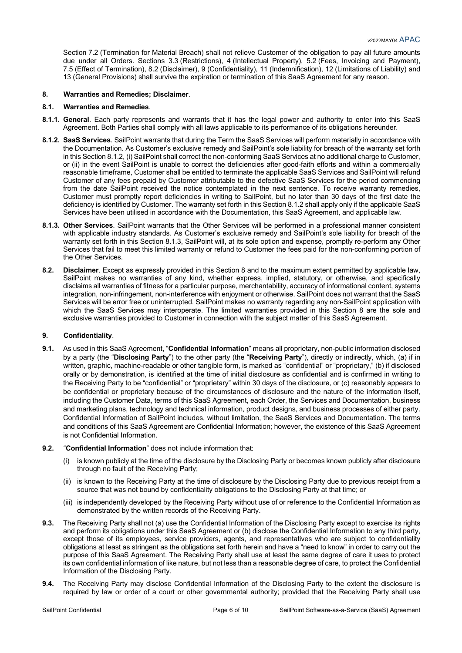Section 7.2 (Termination for Material Breach) shall not relieve Customer of the obligation to pay all future amounts due under all Orders. Sections 3.3 (Restrictions), 4 (Intellectual Property), 5.2 (Fees, Invoicing and Payment), 7.5 (Effect of Termination), 8.2 (Disclaimer), 9 (Confidentiality), 11 (Indemnification), 12 (Limitations of Liability) and 13 (General Provisions) shall survive the expiration or termination of this SaaS Agreement for any reason.

#### **8. Warranties and Remedies; Disclaimer**.

# **8.1. Warranties and Remedies**.

- **8.1.1. General**. Each party represents and warrants that it has the legal power and authority to enter into this SaaS Agreement. Both Parties shall comply with all laws applicable to its performance of its obligations hereunder.
- **8.1.2. SaaS Services**. SailPoint warrants that during the Term the SaaS Services will perform materially in accordance with the Documentation. As Customer's exclusive remedy and SailPoint's sole liability for breach of the warranty set forth in this Section 8.1.2, (i) SailPoint shall correct the non-conforming SaaS Services at no additional charge to Customer, or (ii) in the event SailPoint is unable to correct the deficiencies after good-faith efforts and within a commercially reasonable timeframe, Customer shall be entitled to terminate the applicable SaaS Services and SailPoint will refund Customer of any fees prepaid by Customer attributable to the defective SaaS Services for the period commencing from the date SailPoint received the notice contemplated in the next sentence. To receive warranty remedies, Customer must promptly report deficiencies in writing to SailPoint, but no later than 30 days of the first date the deficiency is identified by Customer. The warranty set forth in this Section 8.1.2 shall apply only if the applicable SaaS Services have been utilised in accordance with the Documentation, this SaaS Agreement, and applicable law.
- **8.1.3. Other Services**. SailPoint warrants that the Other Services will be performed in a professional manner consistent with applicable industry standards. As Customer's exclusive remedy and SailPoint's sole liability for breach of the warranty set forth in this Section 8.1.3, SailPoint will, at its sole option and expense, promptly re-perform any Other Services that fail to meet this limited warranty or refund to Customer the fees paid for the non-conforming portion of the Other Services.
- **8.2. Disclaimer**. Except as expressly provided in this Section 8 and to the maximum extent permitted by applicable law, SailPoint makes no warranties of any kind, whether express, implied, statutory, or otherwise, and specifically disclaims all warranties of fitness for a particular purpose, merchantability, accuracy of informational content, systems integration, non-infringement, non-interference with enjoyment or otherwise. SailPoint does not warrant that the SaaS Services will be error free or uninterrupted. SailPoint makes no warranty regarding any non-SailPoint application with which the SaaS Services may interoperate. The limited warranties provided in this Section 8 are the sole and exclusive warranties provided to Customer in connection with the subject matter of this SaaS Agreement.

# **9. Confidentiality**.

- **9.1.** As used in this SaaS Agreement, "**Confidential Information**" means all proprietary, non-public information disclosed by a party (the "**Disclosing Party**") to the other party (the "**Receiving Party**"), directly or indirectly, which, (a) if in written, graphic, machine-readable or other tangible form, is marked as "confidential" or "proprietary," (b) if disclosed orally or by demonstration, is identified at the time of initial disclosure as confidential and is confirmed in writing to the Receiving Party to be "confidential" or "proprietary" within 30 days of the disclosure, or (c) reasonably appears to be confidential or proprietary because of the circumstances of disclosure and the nature of the information itself, including the Customer Data, terms of this SaaS Agreement, each Order, the Services and Documentation, business and marketing plans, technology and technical information, product designs, and business processes of either party. Confidential Information of SailPoint includes, without limitation, the SaaS Services and Documentation. The terms and conditions of this SaaS Agreement are Confidential Information; however, the existence of this SaaS Agreement is not Confidential Information.
- **9.2.** "**Confidential Information**" does not include information that:
	- (i) is known publicly at the time of the disclosure by the Disclosing Party or becomes known publicly after disclosure through no fault of the Receiving Party;
	- (ii) is known to the Receiving Party at the time of disclosure by the Disclosing Party due to previous receipt from a source that was not bound by confidentiality obligations to the Disclosing Party at that time; or
	- (iii) is independently developed by the Receiving Party without use of or reference to the Confidential Information as demonstrated by the written records of the Receiving Party.
- **9.3.** The Receiving Party shall not (a) use the Confidential Information of the Disclosing Party except to exercise its rights and perform its obligations under this SaaS Agreement or (b) disclose the Confidential Information to any third party, except those of its employees, service providers, agents, and representatives who are subject to confidentiality obligations at least as stringent as the obligations set forth herein and have a "need to know" in order to carry out the purpose of this SaaS Agreement. The Receiving Party shall use at least the same degree of care it uses to protect its own confidential information of like nature, but not less than a reasonable degree of care, to protect the Confidential Information of the Disclosing Party.
- **9.4.** The Receiving Party may disclose Confidential Information of the Disclosing Party to the extent the disclosure is required by law or order of a court or other governmental authority; provided that the Receiving Party shall use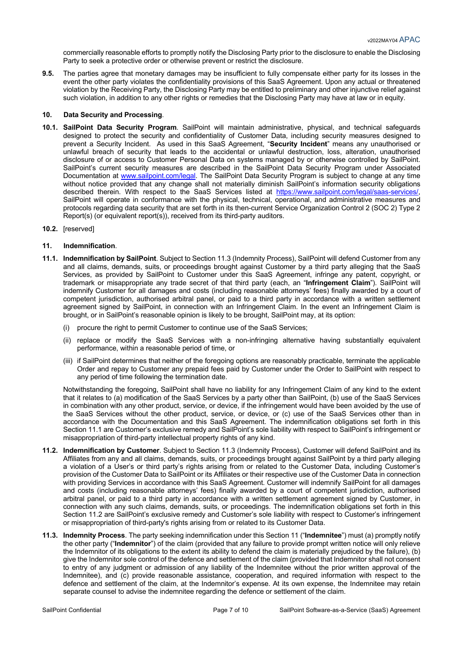commercially reasonable efforts to promptly notify the Disclosing Party prior to the disclosure to enable the Disclosing Party to seek a protective order or otherwise prevent or restrict the disclosure.

**9.5.** The parties agree that monetary damages may be insufficient to fully compensate either party for its losses in the event the other party violates the confidentiality provisions of this SaaS Agreement. Upon any actual or threatened violation by the Receiving Party, the Disclosing Party may be entitled to preliminary and other injunctive relief against such violation, in addition to any other rights or remedies that the Disclosing Party may have at law or in equity.

#### **10. Data Security and Processing**.

- **10.1. SailPoint Data Security Program**. SailPoint will maintain administrative, physical, and technical safeguards designed to protect the security and confidentiality of Customer Data, including security measures designed to prevent a Security Incident. As used in this SaaS Agreement, "**Security Incident**" means any unauthorised or unlawful breach of security that leads to the accidental or unlawful destruction, loss, alteration, unauthorised disclosure of or access to Customer Personal Data on systems managed by or otherwise controlled by SailPoint. SailPoint's current security measures are described in the SailPoint Data Security Program under Associated Documentation at www.sailpoint.com/legal. The SailPoint Data Security Program is subject to change at any time without notice provided that any change shall not materially diminish SailPoint's information security obligations described therein. With respect to the SaaS Services listed at https://www.sailpoint.com/legal/saas-services/, SailPoint will operate in conformance with the physical, technical, operational, and administrative measures and protocols regarding data security that are set forth in its then-current Service Organization Control 2 (SOC 2) Type 2 Report(s) (or equivalent report(s)), received from its third-party auditors.
- **10.2.** [reserved]

#### **11. Indemnification**.

- **11.1. Indemnification by SailPoint**. Subject to Section 11.3 (Indemnity Process), SailPoint will defend Customer from any and all claims, demands, suits, or proceedings brought against Customer by a third party alleging that the SaaS Services, as provided by SailPoint to Customer under this SaaS Agreement, infringe any patent, copyright, or trademark or misappropriate any trade secret of that third party (each, an "**Infringement Claim**"). SailPoint will indemnify Customer for all damages and costs (including reasonable attorneys' fees) finally awarded by a court of competent jurisdiction, authorised arbitral panel, or paid to a third party in accordance with a written settlement agreement signed by SailPoint, in connection with an Infringement Claim. In the event an Infringement Claim is brought, or in SailPoint's reasonable opinion is likely to be brought, SailPoint may, at its option:
	- (i) procure the right to permit Customer to continue use of the SaaS Services;
	- (ii) replace or modify the SaaS Services with a non-infringing alternative having substantially equivalent performance, within a reasonable period of time, or
	- (iii) if SailPoint determines that neither of the foregoing options are reasonably practicable, terminate the applicable Order and repay to Customer any prepaid fees paid by Customer under the Order to SailPoint with respect to any period of time following the termination date.

Notwithstanding the foregoing, SailPoint shall have no liability for any Infringement Claim of any kind to the extent that it relates to (a) modification of the SaaS Services by a party other than SailPoint, (b) use of the SaaS Services in combination with any other product, service, or device, if the infringement would have been avoided by the use of the SaaS Services without the other product, service, or device, or (c) use of the SaaS Services other than in accordance with the Documentation and this SaaS Agreement. The indemnification obligations set forth in this Section 11.1 are Customer's exclusive remedy and SailPoint's sole liability with respect to SailPoint's infringement or misappropriation of third-party intellectual property rights of any kind.

- **11.2. Indemnification by Customer**. Subject to Section 11.3 (Indemnity Process), Customer will defend SailPoint and its Affiliates from any and all claims, demands, suits, or proceedings brought against SailPoint by a third party alleging a violation of a User's or third party's rights arising from or related to the Customer Data, including Customer's provision of the Customer Data to SailPoint or its Affiliates or their respective use of the Customer Data in connection with providing Services in accordance with this SaaS Agreement. Customer will indemnify SailPoint for all damages and costs (including reasonable attorneys' fees) finally awarded by a court of competent jurisdiction, authorised arbitral panel, or paid to a third party in accordance with a written settlement agreement signed by Customer, in connection with any such claims, demands, suits, or proceedings. The indemnification obligations set forth in this Section 11.2 are SailPoint's exclusive remedy and Customer's sole liability with respect to Customer's infringement or misappropriation of third-party's rights arising from or related to its Customer Data.
- **11.3. Indemnity Process**. The party seeking indemnification under this Section 11 ("**Indemnitee**") must (a) promptly notify the other party ("**Indemnitor**") of the claim (provided that any failure to provide prompt written notice will only relieve the Indemnitor of its obligations to the extent its ability to defend the claim is materially prejudiced by the failure), (b) give the Indemnitor sole control of the defence and settlement of the claim (provided that Indemnitor shall not consent to entry of any judgment or admission of any liability of the Indemnitee without the prior written approval of the Indemnitee), and (c) provide reasonable assistance, cooperation, and required information with respect to the defence and settlement of the claim, at the Indemnitor's expense. At its own expense, the Indemnitee may retain separate counsel to advise the indemnitee regarding the defence or settlement of the claim.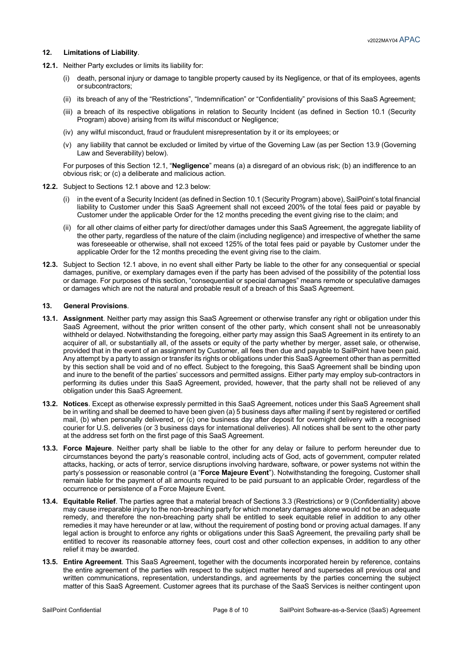# **12. Limitations of Liability**.

- **12.1.** Neither Party excludes or limits its liability for:
	- (i) death, personal injury or damage to tangible property caused by its Negligence, or that of its employees, agents or subcontractors;
	- (ii) its breach of any of the "Restrictions", "Indemnification" or "Confidentiality" provisions of this SaaS Agreement;
	- (iii) a breach of its respective obligations in relation to Security Incident (as defined in Section 10.1 (Security Program) above) arising from its wilful misconduct or Negligence;
	- (iv) any wilful misconduct, fraud or fraudulent misrepresentation by it or its employees; or
	- (v) any liability that cannot be excluded or limited by virtue of the Governing Law (as per Section 13.9 (Governing Law and Severability) below).

For purposes of this Section 12.1, "**Negligence**" means (a) a disregard of an obvious risk; (b) an indifference to an obvious risk; or (c) a deliberate and malicious action.

- **12.2.** Subject to Sections 12.1 above and 12.3 below:
	- (i) in the event of a Security Incident (as defined in Section 10.1 (Security Program) above), SailPoint's total financial liability to Customer under this SaaS Agreement shall not exceed 200% of the total fees paid or payable by Customer under the applicable Order for the 12 months preceding the event giving rise to the claim; and
	- (ii) for all other claims of either party for direct/other damages under this SaaS Agreement, the aggregate liability of the other party, regardless of the nature of the claim (including negligence) and irrespective of whether the same was foreseeable or otherwise, shall not exceed 125% of the total fees paid or payable by Customer under the applicable Order for the 12 months preceding the event giving rise to the claim.
- **12.3.** Subject to Section 12.1 above, in no event shall either Party be liable to the other for any consequential or special damages, punitive, or exemplary damages even if the party has been advised of the possibility of the potential loss or damage. For purposes of this section, "consequential or special damages" means remote or speculative damages or damages which are not the natural and probable result of a breach of this SaaS Agreement.

#### **13. General Provisions**.

- **13.1. Assignment**. Neither party may assign this SaaS Agreement or otherwise transfer any right or obligation under this SaaS Agreement, without the prior written consent of the other party, which consent shall not be unreasonably withheld or delayed. Notwithstanding the foregoing, either party may assign this SaaS Agreement in its entirety to an acquirer of all, or substantially all, of the assets or equity of the party whether by merger, asset sale, or otherwise, provided that in the event of an assignment by Customer, all fees then due and payable to SailPoint have been paid. Any attempt by a party to assign or transfer its rights or obligations under this SaaS Agreement other than as permitted by this section shall be void and of no effect. Subject to the foregoing, this SaaS Agreement shall be binding upon and inure to the benefit of the parties' successors and permitted assigns. Either party may employ sub-contractors in performing its duties under this SaaS Agreement, provided, however, that the party shall not be relieved of any obligation under this SaaS Agreement.
- **13.2. Notices**. Except as otherwise expressly permitted in this SaaS Agreement, notices under this SaaS Agreement shall be in writing and shall be deemed to have been given (a) 5 business days after mailing if sent by registered or certified mail, (b) when personally delivered, or (c) one business day after deposit for overnight delivery with a recognised courier for U.S. deliveries (or 3 business days for international deliveries). All notices shall be sent to the other party at the address set forth on the first page of this SaaS Agreement.
- **13.3. Force Majeure**. Neither party shall be liable to the other for any delay or failure to perform hereunder due to circumstances beyond the party's reasonable control, including acts of God, acts of government, computer related attacks, hacking, or acts of terror, service disruptions involving hardware, software, or power systems not within the party's possession or reasonable control (a "**Force Majeure Event**"). Notwithstanding the foregoing, Customer shall remain liable for the payment of all amounts required to be paid pursuant to an applicable Order, regardless of the occurrence or persistence of a Force Majeure Event.
- **13.4. Equitable Relief**. The parties agree that a material breach of Sections 3.3 (Restrictions) or 9 (Confidentiality) above may cause irreparable injury to the non-breaching party for which monetary damages alone would not be an adequate remedy, and therefore the non-breaching party shall be entitled to seek equitable relief in addition to any other remedies it may have hereunder or at law, without the requirement of posting bond or proving actual damages. If any legal action is brought to enforce any rights or obligations under this SaaS Agreement, the prevailing party shall be entitled to recover its reasonable attorney fees, court cost and other collection expenses, in addition to any other relief it may be awarded.
- **13.5. Entire Agreement**. This SaaS Agreement, together with the documents incorporated herein by reference, contains the entire agreement of the parties with respect to the subject matter hereof and supersedes all previous oral and written communications, representation, understandings, and agreements by the parties concerning the subject matter of this SaaS Agreement. Customer agrees that its purchase of the SaaS Services is neither contingent upon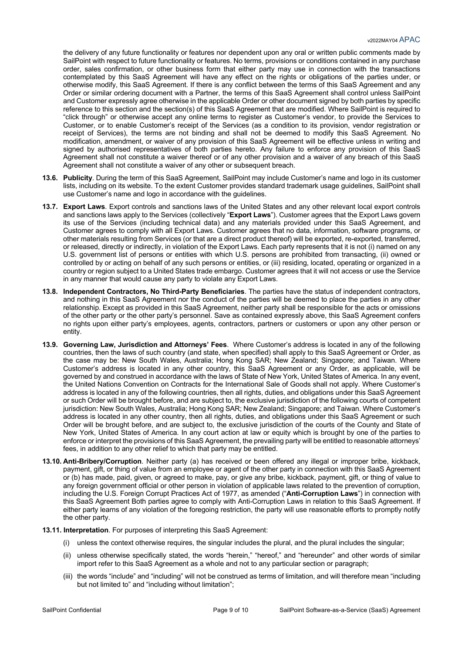the delivery of any future functionality or features nor dependent upon any oral or written public comments made by SailPoint with respect to future functionality or features. No terms, provisions or conditions contained in any purchase order, sales confirmation, or other business form that either party may use in connection with the transactions contemplated by this SaaS Agreement will have any effect on the rights or obligations of the parties under, or otherwise modify, this SaaS Agreement. If there is any conflict between the terms of this SaaS Agreement and any Order or similar ordering document with a Partner, the terms of this SaaS Agreement shall control unless SailPoint and Customer expressly agree otherwise in the applicable Order or other document signed by both parties by specific reference to this section and the section(s) of this SaaS Agreement that are modified. Where SailPoint is required to "click through" or otherwise accept any online terms to register as Customer's vendor, to provide the Services to Customer, or to enable Customer's receipt of the Services (as a condition to its provision, vendor registration or receipt of Services), the terms are not binding and shall not be deemed to modify this SaaS Agreement. No modification, amendment, or waiver of any provision of this SaaS Agreement will be effective unless in writing and signed by authorised representatives of both parties hereto. Any failure to enforce any provision of this SaaS Agreement shall not constitute a waiver thereof or of any other provision and a waiver of any breach of this SaaS Agreement shall not constitute a waiver of any other or subsequent breach.

- **13.6. Publicity**. During the term of this SaaS Agreement, SailPoint may include Customer's name and logo in its customer lists, including on its website. To the extent Customer provides standard trademark usage guidelines, SailPoint shall use Customer's name and logo in accordance with the guidelines.
- **13.7. Export Laws**. Export controls and sanctions laws of the United States and any other relevant local export controls and sanctions laws apply to the Services (collectively "**Export Laws**"). Customer agrees that the Export Laws govern its use of the Services (including technical data) and any materials provided under this SaaS Agreement, and Customer agrees to comply with all Export Laws. Customer agrees that no data, information, software programs, or other materials resulting from Services (or that are a direct product thereof) will be exported, re-exported, transferred, or released, directly or indirectly, in violation of the Export Laws. Each party represents that it is not (i) named on any U.S. government list of persons or entities with which U.S. persons are prohibited from transacting, (ii) owned or controlled by or acting on behalf of any such persons or entities, or (iii) residing, located, operating or organized in a country or region subject to a United States trade embargo. Customer agrees that it will not access or use the Service in any manner that would cause any party to violate any Export Laws.
- **13.8. Independent Contractors, No Third-Party Beneficiaries**. The parties have the status of independent contractors, and nothing in this SaaS Agreement nor the conduct of the parties will be deemed to place the parties in any other relationship. Except as provided in this SaaS Agreement, neither party shall be responsible for the acts or omissions of the other party or the other party's personnel. Save as contained expressly above, this SaaS Agreement confers no rights upon either party's employees, agents, contractors, partners or customers or upon any other person or entity.
- **13.9. Governing Law, Jurisdiction and Attorneys' Fees**. Where Customer's address is located in any of the following countries, then the laws of such country (and state, when specified) shall apply to this SaaS Agreement or Order, as the case may be: New South Wales, Australia; Hong Kong SAR; New Zealand; Singapore; and Taiwan. Where Customer's address is located in any other country, this SaaS Agreement or any Order, as applicable, will be governed by and construed in accordance with the laws of State of New York, United States of America. In any event, the United Nations Convention on Contracts for the International Sale of Goods shall not apply. Where Customer's address is located in any of the following countries, then all rights, duties, and obligations under this SaaS Agreement or such Order will be brought before, and are subject to, the exclusive jurisdiction of the following courts of competent jurisdiction: New South Wales, Australia; Hong Kong SAR; New Zealand; Singapore; and Taiwan. Where Customer's address is located in any other country, then all rights, duties, and obligations under this SaaS Agreement or such Order will be brought before, and are subject to, the exclusive jurisdiction of the courts of the County and State of New York, United States of America. In any court action at law or equity which is brought by one of the parties to enforce or interpret the provisions of this SaaS Agreement, the prevailing party will be entitled to reasonable attorneys' fees, in addition to any other relief to which that party may be entitled.
- **13.10. Anti-Bribery/Corruption**. Neither party (a) has received or been offered any illegal or improper bribe, kickback, payment, gift, or thing of value from an employee or agent of the other party in connection with this SaaS Agreement or (b) has made, paid, given, or agreed to make, pay, or give any bribe, kickback, payment, gift, or thing of value to any foreign government official or other person in violation of applicable laws related to the prevention of corruption, including the U.S. Foreign Corrupt Practices Act of 1977, as amended ("**Anti-Corruption Laws**") in connection with this SaaS Agreement Both parties agree to comply with Anti-Corruption Laws in relation to this SaaS Agreement. If either party learns of any violation of the foregoing restriction, the party will use reasonable efforts to promptly notify the other party.

#### **13.11. Interpretation**. For purposes of interpreting this SaaS Agreement:

- (i) unless the context otherwise requires, the singular includes the plural, and the plural includes the singular;
- (ii) unless otherwise specifically stated, the words "herein," "hereof," and "hereunder" and other words of similar import refer to this SaaS Agreement as a whole and not to any particular section or paragraph;
- (iii) the words "include" and "including" will not be construed as terms of limitation, and will therefore mean "including but not limited to" and "including without limitation";